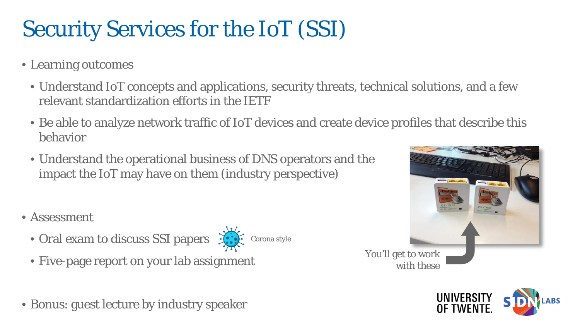## Security Services for the IoT (SSI)

- Learning outcomes
	- Understand IoT concepts and applications, security threats, technical solutions, and a few relevant standardization efforts in the IETF
	- Be able to analyze network traffic of IoT devices and create device profiles that describe this behavior
	- Understand the operational business of DNS operators and the impact the IoT may have on them (industry perspective)
- Assessment
	- Oral exam to discuss SSI papers  $\mathcal{L}$ 
		- Corona style
	- Five-page report on your lab assignment
- Bonus: guest lecture by industry speaker

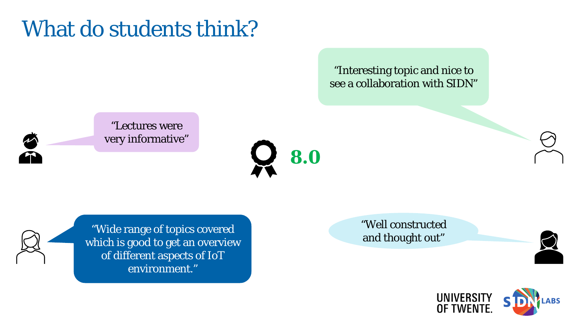## What do students think?

"Interesting topic and nice to see a collaboration with SIDN"



"Lectures were very informative"





well constructed<br>"Wide range of topics covered and thought out" which is good to get an overview of different aspects of IoT environment."

"Well constructed